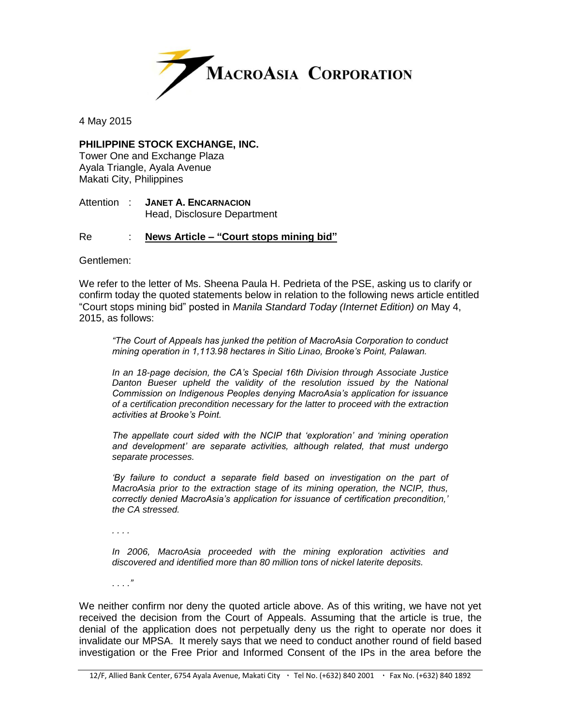

4 May 2015

## **PHILIPPINE STOCK EXCHANGE, INC.**

Tower One and Exchange Plaza Ayala Triangle, Ayala Avenue Makati City, Philippines

Attention : **JANET A. ENCARNACION** Head, Disclosure Department

## Re : **News Article – "Court stops mining bid"**

Gentlemen:

We refer to the letter of Ms. Sheena Paula H. Pedrieta of the PSE, asking us to clarify or confirm today the quoted statements below in relation to the following news article entitled "Court stops mining bid" posted in *Manila Standard Today (Internet Edition) on* May 4, 2015, as follows:

*"The Court of Appeals has junked the petition of MacroAsia Corporation to conduct mining operation in 1,113.98 hectares in Sitio Linao, Brooke's Point, Palawan.*

*In an 18-page decision, the CA's Special 16th Division through Associate Justice Danton Bueser upheld the validity of the resolution issued by the National Commission on Indigenous Peoples denying MacroAsia's application for issuance of a certification precondition necessary for the latter to proceed with the extraction activities at Brooke's Point.*

*The appellate court sided with the NCIP that 'exploration' and 'mining operation and development' are separate activities, although related, that must undergo separate processes.*

'By failure to conduct a separate field based on investigation on the part of *MacroAsia prior to the extraction stage of its mining operation, the NCIP, thus, correctly denied MacroAsia's application for issuance of certification precondition,' the CA stressed.*

*. . . .*

*In 2006, MacroAsia proceeded with the mining exploration activities and discovered and identified more than 80 million tons of nickel laterite deposits.*

*. . . ."*

We neither confirm nor deny the quoted article above. As of this writing, we have not yet received the decision from the Court of Appeals. Assuming that the article is true, the denial of the application does not perpetually deny us the right to operate nor does it invalidate our MPSA. It merely says that we need to conduct another round of field based investigation or the Free Prior and Informed Consent of the IPs in the area before the